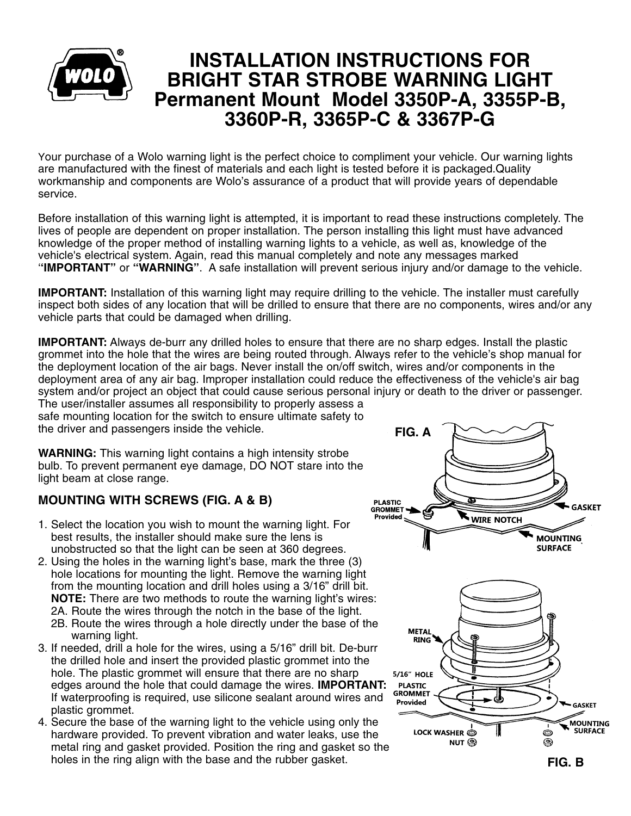

## **INSTALLATION INSTRUCTIONS FOR BRIGHT STAR STROBE WARNING LIGHT Permanent Mount Model 3350P-A, 3355P-B, 3360P-R, 3365P-C & 33 P-G 67**

Your purchase of a Wolo warning light is the perfect choice to compliment your vehicle. Our warning lights are manufactured with the finest of materials and each light is tested before it is packaged.Quality workmanship and components are Wolo's assurance of a product that will provide years of dependable service.

Before installation of this warning light is attempted, it is important to read these instructions completely. The lives of people are dependent on proper installation. The person installing this light must have advanced knowledge of the proper method of installing warning lights to a vehicle, as well as, knowledge of the vehicle's electrical system. Again, read this manual completely and note any messages marked '**'IMPORTANT"** or **''WARNING"**. A safe installation will prevent serious injury and/or damage to the vehicle.

**IMPORTANT:** Installation of this warning light may require drilling to the vehicle. The installer must carefully inspect both sides of any location that will be drilled to ensure that there are no components, wires and/or any vehicle parts that could be damaged when drilling.

**IMPORTANT:** Always de-burr any drilled holes to ensure that there are no sharp edges. Install the plastic grommet into the hole that the wires are being routed through. Always refer to the vehicle's shop manual for the deployment location of the air bags. Never install the on/off switch, wires and/or components in the deployment area of any air bag. Improper installation could reduce the effectiveness of the vehicle's air bag system and/or project an object that could cause serious personal injury or death to the driver or passenger. The user/installer assumes all responsibility to properly assess a

safe mounting location for the switch to ensure ultimate safety to the driver and passengers inside the vehicle.

**WARNING:** This warning light contains a high intensity strobe bulb. To prevent permanent eye damage, DO NOT stare into the light beam at close range.

## **MOUNTING WITH SCREWS (FIG. A & B)**

- 1. Select the location you wish to mount the warning light. For best results, the installer should make sure the lens is unobstructed so that the light can be seen at 360 degrees.
- 2. Using the holes in the warning light's base, mark the three (3) hole locations for mounting the light. Remove the warning light from the mounting location and drill holes using a 3/16" drill bit. **NOTE:** There are two methods to route the warning light's wires:
	- 2A. Route the wires through the notch in the base of the light.
	- 2B. Route the wires through a hole directly under the base of the warning light.
- 3. If needed, drill a hole for the wires, using a 5/16" drill bit. De-burr the drilled hole and insert the provided plastic grommet into the hole. The plastic grommet will ensure that there are no sharp edges around the hole that could damage the wires. **IMPORTANT:** If waterproofing is required, use silicone sealant around wires and plastic grommet.
- 4. Secure the base of the warning light to the vehicle using only the hardware provided. To prevent vibration and water leaks, use the metal ring and gasket provided. Position the ring and gasket so the holes in the ring align with the base and the rubber gasket.



**FIG. B**